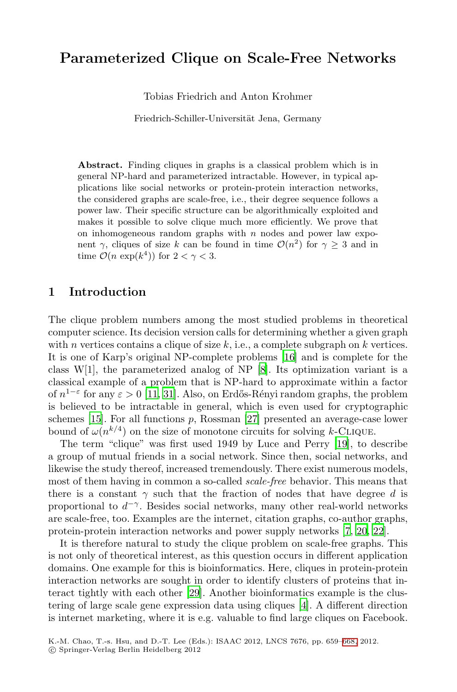# **Parameterized Clique on Scale-Free Networks**

Tobias Friedrich and Anton Krohmer

Friedrich-Schiller-Universität Jena, Germany

**Abstract.** Finding cliques in graphs is a classical problem which is in general NP-hard and parameterized intractable. However, in typical applications like social networks or protein-protein interaction networks, the considered graphs are scale-free, i.e., their degree sequence follows a power law. Their specific structure can be algorithmically exploited and makes it possible to solve clique much more efficiently. We prove that on inhomogeneous random graphs with  $n$  nodes and power law exponent  $\gamma$ , cliques of size k can be found in time  $\mathcal{O}(n^2)$  for  $\gamma \geq 3$  and in time  $\mathcal{O}(n \exp(k^4))$  for  $2 < \gamma < 3$ .

### **1 [In](#page-8-1)[tr](#page-9-0)oduction**

The clique problem num[bers](#page-9-1) among the most studied problems in theoretical computer science. Its decision version calls for determining whether a given graph with n vertices contains a clique of size  $k$ , i.e., [a co](#page-9-2)mplete subgraph on k vertices. It is one of Karp's original NP-complete problems [16] and is complete for the class W[1], the parameterized analog of NP [8]. Its optimization variant is a classical example of a problem that is NP-hard to approximate within a factor of  $n^{1-\epsilon}$  for any  $\varepsilon > 0$  [11, 31]. Also, on Erdős-Rényi random graphs, the problem is believed to be intractable in general, which is even used for cryptographic schemes  $[15]$ . For all functions  $p$ , Rossman  $[27]$  presented an average-case lower bound of  $\omega(n^{k/4})$  on the size of monotone circ[uit](#page-8-2)s [fo](#page-9-3)r [so](#page-9-4)lving k-CLIQUE.

The term "clique" was first used 1949 by Luce and Perry [19], to describe a group of mutual friends in a social network. Since then, social networks, and likewise the study thereof, increased tremendously. There exist numerous models, most of them having in common a so-called *scale-free* behavior. This means that there is a c[ons](#page-9-5)tant  $\gamma$  such that the fraction of nodes that have degree d is proportional to  $d^{-\gamma}$ . Besides social [net](#page-8-3)works, many other real-world networks are scale-free, too. Examples are the internet, citation graphs, co-author graphs, protein-protein interaction networks and power supply networks [7, 20, 22].

It is therefore natural to study the clique pr[oble](#page-9-6)m on scale-free graphs. This is not only of theoretical interest, as this question occurs in different application domains. One example for this is bioinformatics. Here, cliques in protein-protein interaction networks are sought in order to identify clusters of proteins that interact tightly with each other [29]. Another bioinformatics example is the clustering of large scale gene expression data using cliques [4]. A different direction is internet marketing, where it is e.g. valuable to find large cliques on Facebook.

K.-M. Chao, T.-s. Hsu, and D.-T. Lee (Eds.): ISAAC 2012, LNCS 7676, pp. 659–668, 2012. -c Springer-Verlag Berlin Heidelberg 2012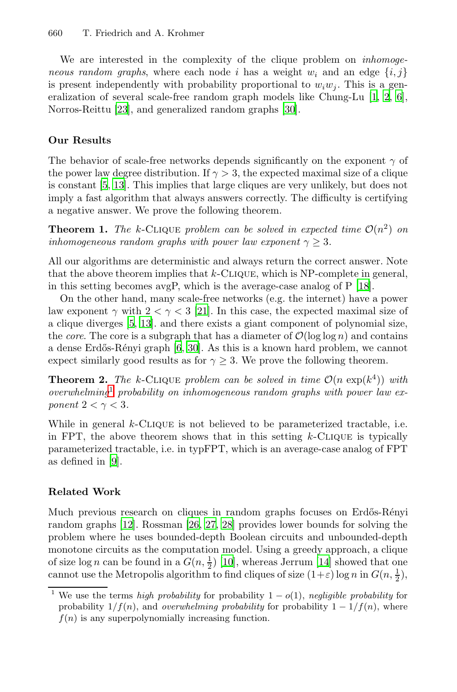We are interested in the complexity of the clique problem on *inhomogeneous random graphs*, where each node i has a weight  $w_i$  and an edge  $\{i, j\}$ is present independently with probability proportional to  $w_iw_j$ . This is a generalization of several scale-free random graph models like Chung-Lu [1, 2, 6], Norros-Reittu [23], and generalized random graphs [30].

#### **Our Results**

The behavior of scale-free networks depends significantly on the exponent  $\gamma$  of the power law degree distribution. If  $\gamma > 3$ , the expected maximal size of a clique is constant [5, 13]. This implies that large cliques a[re](#page-9-7) very unlikely, but does not imply a fast algorithm that always answers correctly. The difficulty is certifying a negative ans[wer](#page-9-8). We prove the following theorem.

**[T](#page-8-4)[heo](#page-8-5)rem 1.** The k-CLIQUE problem can be solved in expected time  $\mathcal{O}(n^2)$  on *inhomoge[neo](#page-8-6)[us](#page-9-9)* random graphs with power law exponent  $\gamma > 3$ *.* 

All our algorithms are deterministic and always return the correct answer. Note that the above theorem implies that  $k$ -CLIQUE, which is NP-complete in general, in this setting becomes avgP, which is the average-case analog of P [18].

On the other hand, many scale-free networks (e.g. the internet) have a power law exponent  $\gamma$  with  $2 < \gamma < 3$  [21]. In this case, the expected maximal size of a clique diverges [5, 13]. and there exists a giant component of polynomial size, the *core*. The core is a subgraph that has a diameter of  $\mathcal{O}(\log \log n)$  and contains a dense Erdős-Rényi graph [6, 30]. As this is a known hard problem, we cannot expect similarly good results as for  $\gamma \geq 3$ . We prove the following theorem.

**Theorem 2.** The k-CLIQUE problem can be solved in time  $\mathcal{O}(n \exp(k^4))$  with *overwhelming*<sup>1</sup> *probability on inhomogeneous random graphs with power law exponent*  $2 < \gamma < 3$ *.* 

[W](#page-8-7)hile in ge[nera](#page-9-10)l  $k$ -CLIQUE is not believed to be parameterized tractable, i.e. in FPT, the above theorem shows that in this setting  $k$ -CLIQUE is typically parameterized tractable, i.e. in typFPT, which is an average-case analog of FPT as defined in [9].

### **Related Work**

Much previous research on cliques in random graphs focuses on Erdős-Rényi random graphs [12]. Rossman [26, 27, 28] provides lower bounds for solving the problem where he uses bounded-depth Boolean circuits and unbounded-depth monotone circuits as the computation model. Using a greedy approach, a clique of size  $\log n$  can be found in a  $G(n, \frac{1}{2})$  [10], whereas Jerrum [14] showed that one cannot use the Metropolis algorithm to find cliques of size  $(1+\varepsilon) \log n$  in  $G(n, \frac{1}{2})$ ,

<sup>&</sup>lt;sup>1</sup> We use the terms *high probability* for probability  $1 - o(1)$ , *negligible probability* for probability  $1/f(n)$ , and *overwhelming probability* for probability  $1 - 1/f(n)$ , where  $f(n)$  is any superpolynomially increasing function.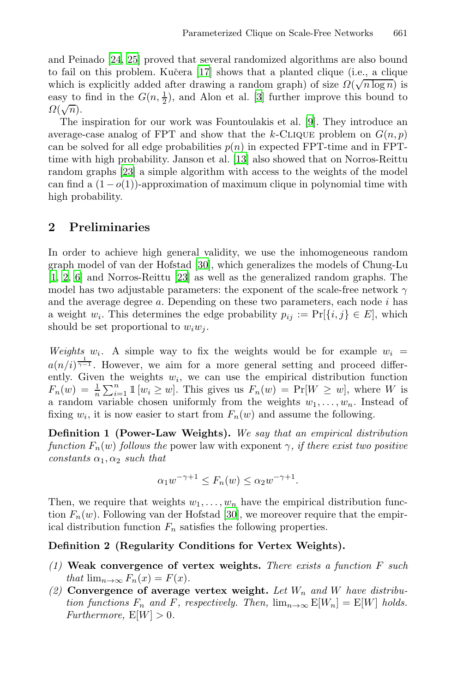and Peinado [24, 25] pr[ove](#page-8-5)d that several randomized algorithms are also bound [t](#page-9-12)o fail on this problem. Kučera [17] shows that a planted clique (i.e., a clique which is explicitly added after drawing a random graph) of size  $\Omega(\sqrt{n \log n})$  is easy to find in the  $G(n, \frac{1}{2})$ , and Alon et al. [3] further improve this bound to easy το $\Omega(\sqrt{n}).$ 

The inspiration for our work was Fountoulakis et al. [9]. They introduce an average-case analog of FPT and show that the k-CLIQUE problem on  $G(n, p)$ can be solved for all edge probabilities  $p(n)$  in expected FPT-time and in FPTtime with high probability. Janson et al. [13] also showed that on Norros-Reittu random graph[s \[2](#page-9-9)3] a simple algorithm with access to the weights of the model can find a  $(1-o(1))$ -approximation of maximum clique in polynomial time with high probability.

## **2 Preliminaries**

In order to achieve high general validity, we use the inhomogeneous random graph model of van der Hofstad [30], which generalizes the models of Chung-Lu [1, 2, 6] and Norros-Reittu [23] as well as the generalized random graphs. The model has two adjustable parameters: the exponent of the scale-free network  $\gamma$ and the average degree  $a$ . Depending on these two parameters, each node  $i$  has a weight  $w_i$ . This determines the edge probability  $p_{ij} := \Pr[\{i, j\} \in E]$ , which should be set proportional to  $w_iw_j$ .

*Weights*  $w_i$ . A simple way to fix the weights would be for example  $w_i$  $a(n/i)^{\frac{1}{\gamma-1}}$ . However, we aim for a more general setting and proceed differently. Given the weights  $w_i$ , we can use the empirical distribution function  $F_n(w) = \frac{1}{n} \sum_{i=1}^n \mathbb{1}[w_i \geq w]$ . This gives us  $F_n(w) = \Pr[W \geq w]$ , where W is a random variable chosen uniformly from the weights  $w_1, \ldots, w_n$ . Instead of fixing  $w_i$ , it is now e[asie](#page-9-9)r to start from  $F_n(w)$  and assume the following.

**Definition 1 (Power-Law Weights).** *We say that an empirical distribution function*  $F_n(w)$  *follows the* power law with exponent  $\gamma$ *, if there exist two positive constants*  $\alpha_1, \alpha_2$  *such that* 

$$
\alpha_1 w^{-\gamma+1} \le F_n(w) \le \alpha_2 w^{-\gamma+1}.
$$

Then, we require that weights  $w_1, \ldots, w_n$  have the empirical distribution function  $F_n(w)$ . Following van der Hofstad [30], we moreover require that the empirical distribution function  $F_n$  satisfies the following properties.

### **Definition 2 (Regularity Conditions for Vertex Weights).**

- *(1)* **Weak convergence of vertex weights.** *There exists a function* F *such that*  $\lim_{n\to\infty} F_n(x) = F(x)$ *.*
- *(2)* **Convergence of average vertex weight.** *Let* W<sup>n</sup> *and* W *have distribution functions*  $F_n$  *and*  $F$ *, respectively. Then,*  $\lim_{n\to\infty} E[W_n] = E[W]$  *holds. Furthermore,*  $E[W] > 0$ *.*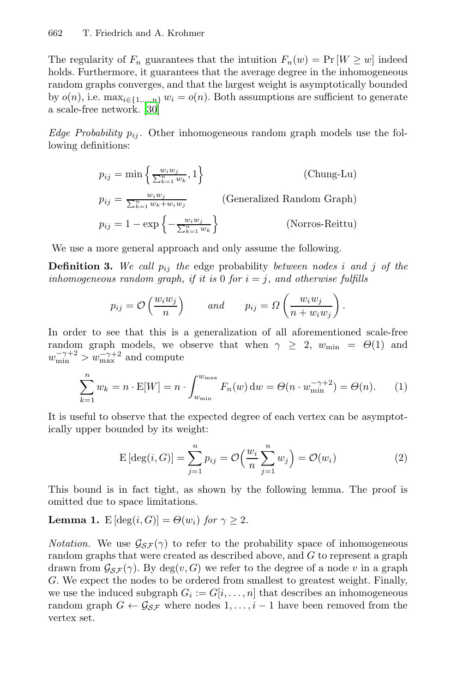The regularity of  $F_n$  guarantees that the intuition  $F_n(w) = Pr[W \geq w]$  indeed holds. Furthermore, it guarantees that the average degree in the inhomogeneous random graphs converges, and that the largest weight is asymptotically bounded by  $o(n)$ , i.e.  $\max_{i \in \{1,\ldots,n\}} w_i = o(n)$ . Both assumptions are sufficient to generate a scale-free network. [30]

*Edge Probability*  $p_{ij}$ . Other inhomogeneous random graph models use the following definitions:

$$
p_{ij} = \min\left\{\frac{w_i w_j}{\sum_{k=1}^n w_k}, 1\right\}
$$
 (Chung-Lu)  
\n
$$
p_{ij} = \frac{w_i w_j}{\sum_{k=1}^n w_k + w_i w_j}
$$
 (Generalized Random Graph)  
\n
$$
p_{ij} = 1 - \exp\left\{-\frac{w_i w_j}{\sum_{k=1}^n w_k}\right\}
$$
 (Norros-Reittu)

We use a more general approach and only assume the following.

**Definition 3.** We call  $p_{ij}$  the edge probability *between nodes* i and j of the *inhomogeneous random graph, if it is* 0 *for*  $i = j$ *, and otherwise fulfills* 

<span id="page-3-0"></span>
$$
p_{ij} = \mathcal{O}\left(\frac{w_i w_j}{n}\right)
$$
 and  $p_{ij} = \Omega\left(\frac{w_i w_j}{n + w_i w_j}\right)$ .

In order to see that this is a generalization of all aforementioned scale-free random graph models, we observe that when  $\gamma \geq 2$ ,  $w_{\min} = \Theta(1)$  and  $w_{\min}^{-\gamma+2} > w_{\max}^{-\gamma+2}$  and compute

$$
\sum_{k=1}^{n} w_k = n \cdot \mathbb{E}[W] = n \cdot \int_{w_{\min}}^{w_{\max}} F_n(w) dw = \Theta(n \cdot w_{\min}^{-\gamma+2}) = \Theta(n). \tag{1}
$$

It is useful to observe that the expected degree of each vertex can be asymptotically upper bounded by its weight:

$$
E\left[\deg(i, G)\right] = \sum_{j=1}^{n} p_{ij} = \mathcal{O}\left(\frac{w_i}{n} \sum_{j=1}^{n} w_j\right) = \mathcal{O}(w_i)
$$
 (2)

This bound is in fact tight, as shown by the following lemma. The proof is omitted due to space limitations.

**Lemma 1.**  $E[\deg(i, G)] = \Theta(w_i)$  *for*  $\gamma > 2$ *.* 

*Notation.* We use  $\mathcal{G}_{\mathcal{SF}}(\gamma)$  to refer to the probability space of inhomogeneous random graphs that were created as described above, and  $G$  to represent a graph drawn from  $\mathcal{G}_{\mathcal{SF}}(\gamma)$ . By deg $(v, G)$  we refer to the degree of a node v in a graph G. We expect the nodes to be ordered from smallest to greatest weight. Finally, we use the induced subgraph  $G_i := G[i, \ldots, n]$  that describes an inhomogeneous random graph  $G \leftarrow \mathcal{G}_{\mathcal{SF}}$  where nodes  $1, \ldots, i-1$  have been removed from the vertex set.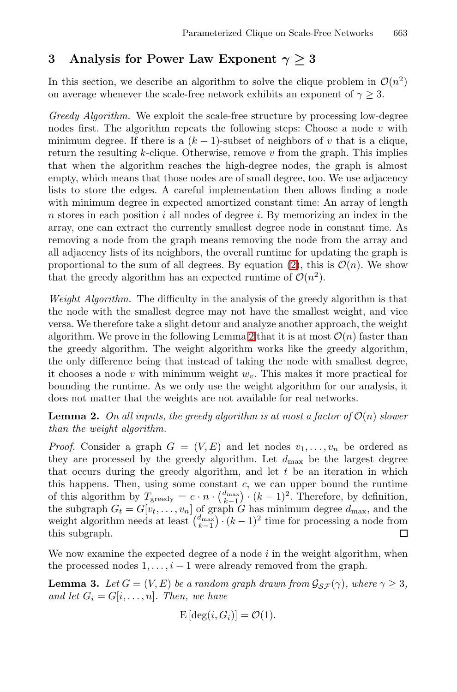# **3 Analysis for Power Law Exponent** *<sup>γ</sup> <sup>≥</sup>* **<sup>3</sup>**

In this section, we describe an algorithm to solve the clique problem in  $\mathcal{O}(n^2)$ on average whenever the scale-free network exhibits an exponent of  $\gamma \geq 3$ .

*Greedy Algorithm.* We exploit the scale-free structure by processing low-degree nodes first. The algorithm repeats the following steps: Choose a node  $v$  with minimum degree. If there is a  $(k - 1)$ -subset of neighbors of v that is a clique, return the resulting  $k$ -clique. Otherwise, remove  $v$  from the graph. This implies that when the algorithm reaches [the](#page-3-0) high-degree nodes, the graph is almost empty, which means that those nodes are of small degree, too. We use adjacency lists to store the edges. A careful implementation then allows finding a node with minimum degree in expected amortized constant time: An array of length  $n$  stores in each position i all nodes of degree i. By memorizing an index in the array, one can extract the currently smallest degree node in constant time. As removing a node from th[e g](#page-4-0)raph means removing the node from the array and all adjacency lists of its neighbors, the overall runtime for updating the graph is proportional to the sum of all degrees. By equation (2), this is  $\mathcal{O}(n)$ . We show that the greedy algorithm has an expected runtime of  $\mathcal{O}(n^2)$ .

<span id="page-4-0"></span>*Weight Algorithm.* The difficulty in the analysis of the greedy algorithm is that the node with the smallest degree may not have the smallest weight, and vice versa. We therefore take a slight detour and analyze another approach, the weight algorithm. We prove in the following Lemma 2 that it is at most  $\mathcal{O}(n)$  faster than the greedy algorithm. The weight algorithm works like the greedy algorithm, the only difference being that instead of taking the node with smallest degree, it chooses a node v with minimum weight  $w_v$ . This makes it more practical for bounding the runtime. As we only use the weight algorithm for our analysis, it does not matter that the weights are not available for real networks.

**Lemma 2.** On all inputs, the greedy algorithm is at most a factor of  $\mathcal{O}(n)$  slower *than the weight algorithm.*

*Proof.* Consider a graph  $G = (V, E)$  and let nodes  $v_1, \ldots, v_n$  be ordered as they are processed by the greedy algorithm. Let  $d_{\text{max}}$  be the largest degree that occurs during the greedy algorithm, and let  $t$  be an iteration in which this happens. Then, using some constant  $c$ , we can upper bound the runtime of this algorithm by  $T_{\text{greedy}} = c \cdot n \cdot {d_{\text{max}} \choose k-1} \cdot (k-1)^2$ . Therefore, by definition, the subgraph  $G_t = G[v_t, \ldots, v_n]$  of graph G has minimum degree  $d_{\text{max}}$ , and the weight algorithm needs at least  $\binom{d_{\text{max}}}{k-1} \cdot (k-1)^2$  time for processing a node from this subgraph.  $\Box$ 

We now examine the expected degree of a node  $i$  in the weight algorithm, when the processed nodes  $1, \ldots, i-1$  were already removed from the graph.

**Lemma 3.** *Let*  $G = (V, E)$  *be a random graph drawn from*  $\mathcal{G}_{\mathcal{SF}}(\gamma)$ *, where*  $\gamma \geq 3$ *, and let*  $G_i = G[i, \ldots, n]$ *. Then, we have* 

$$
E[\deg(i, G_i)] = \mathcal{O}(1).
$$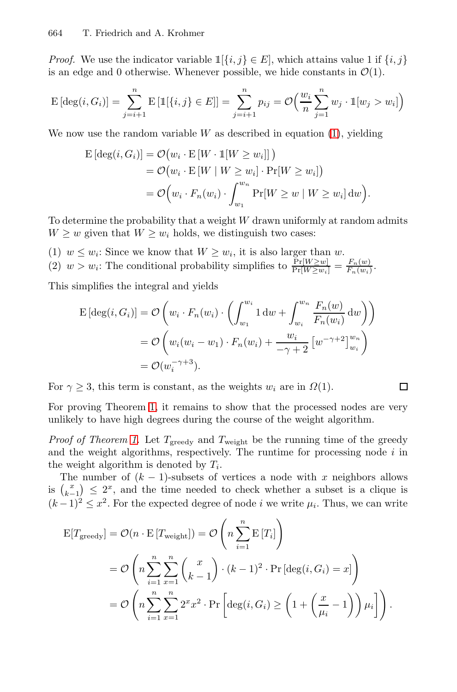*Proof.* We use the indicator variable  $\mathbb{1}[\{i, j\} \in E]$ , which attains value 1 if  $\{i, j\}$ is an edge and 0 otherwise. Whenever possible, we hide constants in  $\mathcal{O}(1)$ .

$$
E[\deg(i, G_i)] = \sum_{j=i+1}^{n} E[\mathbb{1}[\{i, j\} \in E]] = \sum_{j=i+1}^{n} p_{ij} = O\left(\frac{w_i}{n} \sum_{j=1}^{n} w_j \cdot \mathbb{1}[w_j > w_i]\right)
$$

We now use the random variable  $W$  as described in equation  $(1)$ , yielding

$$
\begin{aligned} \mathrm{E}\left[\deg(i, G_i)\right] &= \mathcal{O}\big(w_i \cdot \mathrm{E}\left[W \cdot \mathbbm{1}[W \ge w_i]\right]\big) \\ &= \mathcal{O}\big(w_i \cdot \mathrm{E}\left[W \mid W \ge w_i\right] \cdot \Pr[W \ge w_i]\big) \\ &= \mathcal{O}\Big(w_i \cdot F_n(w_i) \cdot \int_{w_1}^{w_n} \Pr[W \ge w \mid W \ge w_i] \, \mathrm{d}w\Big). \end{aligned}
$$

To determine the probability that a weight  $W$  drawn uniformly at random admits  $W \geq w$  given that  $W \geq w_i$  holds, we distinguish two cases:

(1)  $w \leq w_i$ : Since we know that  $W \geq w_i$ , it is also larger than w. (2)  $w > w_i$ : The conditional probability simplifies to  $\frac{\Pr[W \geq w]}{\Pr[W \geq w_i]} = \frac{F_n(w)}{F_n(w_i)}$ .

This simplifies the integral and yields

$$
\begin{aligned} \mathcal{E}\left[\deg(i, G_i)\right] &= \mathcal{O}\left(w_i \cdot F_n(w_i) \cdot \left(\int_{w_1}^{w_i} 1 \, \mathrm{d}w + \int_{w_i}^{w_n} \frac{F_n(w)}{F_n(w_i)} \, \mathrm{d}w\right)\right) \\ &= \mathcal{O}\left(w_i(w_i - w_1) \cdot F_n(w_i) + \frac{w_i}{-\gamma + 2} \left[w^{-\gamma + 2}\right]_{w_i}^{w_n}\right) \\ &= \mathcal{O}(w_i^{-\gamma + 3}). \end{aligned}
$$

For  $\gamma \geq 3$ , this term is constant, as the weights  $w_i$  are in  $\Omega(1)$ .

 $\Box$ 

For proving Theorem 1, it remains to show that the processed nodes are very unlikely to have high degrees during the course of the weight algorithm.

*Proof of Theorem 1.* Let  $T_{\text{greedy}}$  and  $T_{\text{weight}}$  be the running time of the greedy and the weight algorithms, respectively. The runtime for processing node  $i$  in the weight algorithm is denoted by  $T_i$ .

The number of  $(k - 1)$ -subsets of vertices a node with x neighbors allows is  $\binom{x}{k-1} \leq 2^x$ , and the time needed to check whether a subset is a clique is  $(k-1)^2 \leq x^2$ . For the expected degree of node *i* we write  $\mu_i$ . Thus, we can write

$$
E[T_{greedy}] = \mathcal{O}(n \cdot E[T_{weight}]) = \mathcal{O}\left(n \sum_{i=1}^{n} E[T_i]\right)
$$
  
=  $\mathcal{O}\left(n \sum_{i=1}^{n} \sum_{x=1}^{n} {x \choose k-1} \cdot (k-1)^2 \cdot \Pr[\deg(i, G_i) = x]\right)$   
=  $\mathcal{O}\left(n \sum_{i=1}^{n} \sum_{x=1}^{n} 2^x x^2 \cdot \Pr\left[\deg(i, G_i) \ge \left(1 + \left(\frac{x}{\mu_i} - 1\right)\right) \mu_i\right]\right).$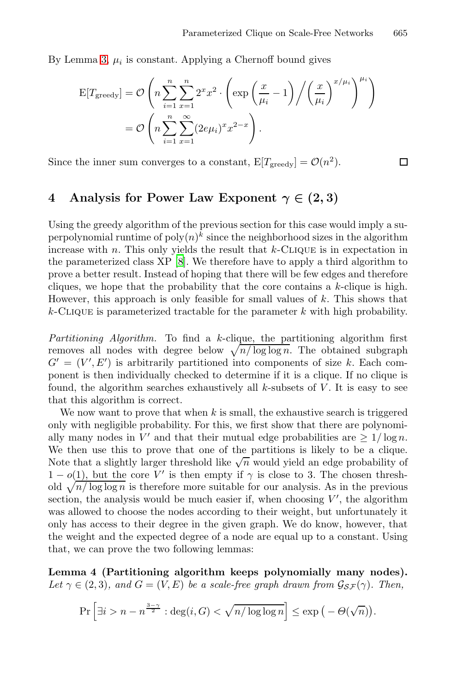By Lemma 3,  $\mu_i$  is constant. Applying a Chernoff bound gives

$$
E[T_{greedy}] = \mathcal{O}\left(n\sum_{i=1}^{n}\sum_{x=1}^{n}2^{x}x^{2}\cdot\left(\exp\left(\frac{x}{\mu_{i}}-1\right)\middle/\left(\frac{x}{\mu_{i}}\right)^{x/\mu_{i}}\right)^{\mu_{i}}\right)
$$

$$
= \mathcal{O}\left(n\sum_{i=1}^{n}\sum_{x=1}^{\infty}(2e\mu_{i})^{x}x^{2-x}\right).
$$

Since the [inn](#page-8-9)er sum converges to a constant,  $E[T_{greedy}] = \mathcal{O}(n^2)$ .

 $\Box$ 

# **4** Analysis for Power Law Exponent  $\gamma \in (2, 3)$

Using the greedy algorithm of the previous section for this case would imply a superpolynomial runtime of  $\text{poly}(n)^k$  since the neighborhood sizes in the algorithm increase with  $n$ . This only yields the result that  $k$ -CLIQUE is in expectation in the parameterized class XP [8]. We therefore have to apply a third algorithm to prove a better result. Instead of hoping that there will be few edges and therefore cliques, we hope that the probability that the core contains a  $k$ -clique is high. However, this approach is only feasible for small values of  $k$ . This shows that  $k$ -CLIQUE is parameterized tractable for the parameter k with high probability.

<span id="page-6-0"></span>*Partitioning Algorithm.* To find a k-clique, the partitioning algorithm first removes all nodes with degree below  $\sqrt{n/\log \log n}$ . The obtained subgraph  $G' = (V', E')$  is arbitrarily partitioned into components of size k. Each component is then individually checked to determine if it is a clique. If no clique is found, the algorithm searches exhaustively all  $k$ -subsets of  $V$ . It is easy to see that this algorithm is correct.

<span id="page-6-1"></span>We now want to prove that when  $k$  is small, the exhaustive search is triggered only with negligible probability. For this, we first show that there are polynomially many nodes in V' and that their mutual edge probabilities are  $\geq 1/\log n$ . We then use this to prove that one of the partitions is likely to be a clique. Note that a slightly larger threshold like  $\sqrt{n}$  would yield an edge probability of  $1 - o(1)$ , but the core V' is then empty if  $\gamma$  is close to 3. The chosen threshold  $\sqrt{n}/\log\log n$  is therefore more suitable for our analysis. As in the previous section, the analysis would be much easier if, when choosing  $V'$ , the algorithm was allowed to choose the nodes according to their weight, but unfortunately it only has access to their degree in the given graph. We do know, however, that the weight and the expected degree of a node are equal up to a constant. Using that, we can prove the two following lemmas:

**Lemma 4 (Partitioning algorithm keeps polynomially many nodes).** *Let*  $\gamma \in (2,3)$ *, and*  $G = (V, E)$  *be a scale-free graph drawn from*  $\mathcal{G}_{S}(\gamma)$ *. Then,* 

$$
\Pr\left[\exists i > n - n^{\frac{3-\gamma}{2}} : \deg(i, G) < \sqrt{n/\log\log n}\right] \le \exp\left(-\Theta(\sqrt{n})\right).
$$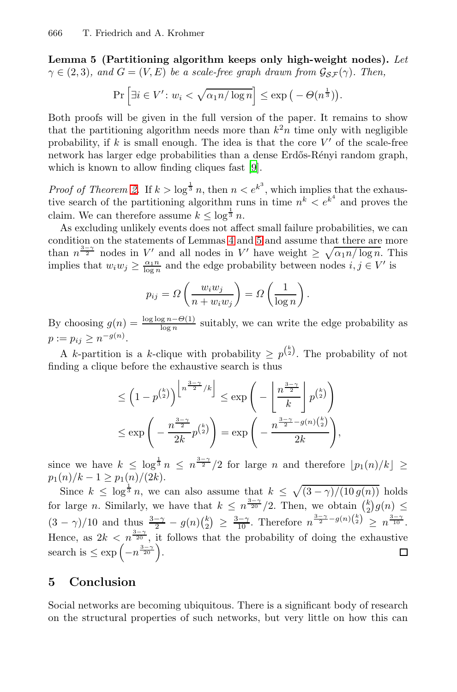**Lemma 5 (Partitioning algorithm keeps only high-weight nodes).** *Let*  $\gamma \in (2,3)$ *, and*  $G = (V, E)$  *[be](#page-8-8) a scale-free graph drawn from*  $\mathcal{G}_{\mathcal{SF}}(\gamma)$ *. Then,* 

$$
\Pr\left[\exists i \in V': w_i < \sqrt{\alpha_1 n / \log n}\right] \le \exp\left(-\Theta(n^{\frac{1}{3}})\right).
$$

Both proofs will be given in the full version of the paper. It remains to show that the partitioning algorithm needs more than  $k^2n$  time only with negligible probability, if k is s[mal](#page-6-0)l en[ou](#page-6-1)gh. The idea is that the core  $V'$  of the scale-free network has larger edge probabilities than a dense Erdős-Rényi random graph, which is known to allow finding cliques fast [9].

*Proof of Theorem 2.* If  $k > \log^{\frac{1}{3}} n$ , then  $n < e^{k^3}$ , which implies that the exhaustive search of the partitioning algorithm runs in time  $n^k < e^{k^4}$  and proves the claim. We can therefore assume  $k \leq \log^{\frac{1}{3}} n$ .

As excluding unlikely events does not affect small failure probabilities, we can condition on the statements of Lemmas 4 and 5 and assume that there are more than  $n^{\frac{3-\gamma}{2}}$  nodes in V' and all nodes in V' have weight  $\geq \sqrt{\alpha_1 n / \log n}$ . This implies that  $w_i w_j \geq \frac{\alpha_1 n}{\log n}$  and the edge probability between nodes  $i, j \in V'$  is

$$
p_{ij} = \Omega\left(\frac{w_i w_j}{n + w_i w_j}\right) = \Omega\left(\frac{1}{\log n}\right).
$$

By choosing  $g(n) = \frac{\log \log n - \Theta(1)}{\log n}$  suitably, we can write the edge probability as  $p := p_{ij} \geq n^{-g(n)}$ .

A k-partition is a k-clique with probability  $\geq p^{k \choose 2}$ . The probability of not finding a clique before the exhaustive search is thus

$$
\leq \left(1 - p^{\binom{k}{2}}\right)^{\left\lfloor n^{\frac{3-\gamma}{2}}/k \right\rfloor} \leq \exp\left(-\left\lfloor \frac{n^{\frac{3-\gamma}{2}}}{k} \right\rfloor p^{\binom{k}{2}}\right)
$$

$$
\leq \exp\left(-\frac{n^{\frac{3-\gamma}{2}}}{2k}p^{\binom{k}{2}}\right) = \exp\left(-\frac{n^{\frac{3-\gamma}{2}-g(n)\binom{k}{2}}}{2k}\right),
$$

since we have  $k \leq \log^{\frac{1}{3}} n \leq n^{\frac{3-\gamma}{2}}/2$  for large n and therefore  $\lfloor p_1(n)/k \rfloor \geq$  $p_1(n)/k - 1 \geq p_1(n)/(2k).$ 

Since  $k \leq \log^{\frac{1}{3}} n$ , we can also assume that  $k \leq \sqrt{(3-\gamma)/(10 g(n))}$  holds for large *n*. Similarly, we have that  $k \leq n^{\frac{3-\gamma}{20}}/2$ . Then, we obtain  $\binom{k}{2}g(n) \leq$  $(3 - \gamma)/10$  and thus  $\frac{3-\gamma}{2} - g(n)\binom{k}{2} \geq \frac{3-\gamma}{10}$ . Therefore  $n^{\frac{3-\gamma}{2} - g(n)\binom{k}{2}} \geq n^{\frac{3-\gamma}{10}}$ . Hence, as  $2k < n^{\frac{3-\gamma}{20}}$ , it follows that the probability of doing the exhaustive search is  $\leq \exp\left(-n^{\frac{3-\gamma}{20}}\right)$ .  $\Box$ 

## **5 Conclusion**

Social networks are becoming ubiquitous. There is a significant body of research on the structural properties of such networks, but very little on how this can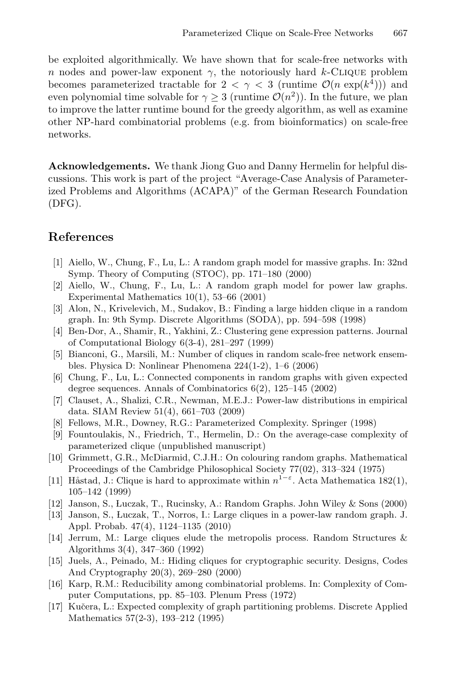be exploited algorithmically. We have shown that for scale-free networks with n nodes and power-law exponent  $\gamma$ , the notoriously hard k-CLIQUE problem becomes parameterized tractable for  $2 < \gamma < 3$  (runtime  $\mathcal{O}(n \exp(k^4))$ ) and even polynomial time solvable for  $\gamma \geq 3$  (runtime  $\mathcal{O}(n^2)$ ). In the future, we plan to improve the latter runtime bound for the greedy algorithm, as well as examine other NP-hard combinatorial problems (e.g. from bioinformatics) on scale-free networks.

**Acknowledgements.** We thank Jiong Guo and Danny Hermelin for helpful discussions. This work is part of the project "Average-Case Analysis of Parameterized Problems and Algorithms (ACAPA)" of the German Research Foundation (DFG).

## **References**

- <span id="page-8-4"></span><span id="page-8-3"></span>[1] Aiello, W., Chung, F., Lu, L.: A random graph model for massive graphs. In: 32nd Symp. Theory of Computing (STOC), pp. 171–180 (2000)
- <span id="page-8-6"></span>[2] Aiello, W., Chung, F., Lu, L.: A random graph model for power law graphs. Experimental Mathematics 10(1), 53–66 (2001)
- <span id="page-8-2"></span>[3] Alon, N., Krivelevich, M., Sudakov, B.: Finding a large hidden clique in a random graph. In: 9th Symp. Discrete Algorithms (SODA), pp. 594–598 (1998)
- <span id="page-8-9"></span>[4] Ben-Dor, A., Shamir, R., Yakhini, Z.: Clustering gene expression patterns. Journal of Computational Biology 6(3-4), 281–297 (1999)
- <span id="page-8-8"></span>[5] Bianconi, G., Marsili, M.: Number of cliques in random scale-free network ensembles. Physica D: Nonlinear Phenomena 224(1-2), 1–6 (2006)
- [6] Chung, F., Lu, L.: Connected components in random graphs with given expected degree sequences. Annals of Combinatorics 6(2), 125–145 (2002)
- <span id="page-8-1"></span>[7] Clauset, A., Shalizi, C.R., Newman, M.E.J.: Power-law distributions in empirical data. SIAM Review 51(4), 661–703 (2009)
- <span id="page-8-7"></span><span id="page-8-5"></span>[8] Fellows, M.R., Downey, R.G.: Parameterized Complexity. Springer (1998)
- [9] Fountoulakis, N., Friedrich, T., Hermelin, D.: On the average-case complexity of parameterized clique (unpublished manuscript)
- [10] Grimmett, G.R., McDiarmid, C.J.H.: On colouring random graphs. Mathematical Proceedings of the Cambridge Philosophical Society 77(02), 313–324 (1975)
- [11] Håstad, J.: Clique is hard to approximate within  $n^{1-\epsilon}$ . Acta Mathematica 182(1), 105–142 (1999)
- <span id="page-8-0"></span>[12] Janson, S., Luczak, T., Rucinsky, A.: Random Graphs. John Wiley & Sons (2000)
- [13] Janson, S., Luczak, T., Norros, I.: Large cliques in a power-law random graph. J. Appl. Probab. 47(4), 1124–1135 (2010)
- [14] Jerrum, M.: Large cliques elude the metropolis process. Random Structures & Algorithms 3(4), 347–360 (1992)
- [15] Juels, A., Peinado, M.: Hiding cliques for cryptographic security. Designs, Codes And Cryptography 20(3), 269–280 (2000)
- [16] Karp, R.M.: Reducibility among combinatorial problems. In: Complexity of Computer Computations, pp. 85–103. Plenum Press (1972)
- [17] Kuˇcera, L.: Expected complexity of graph partitioning problems. Discrete Applied Mathematics 57(2-3), 193–212 (1995)